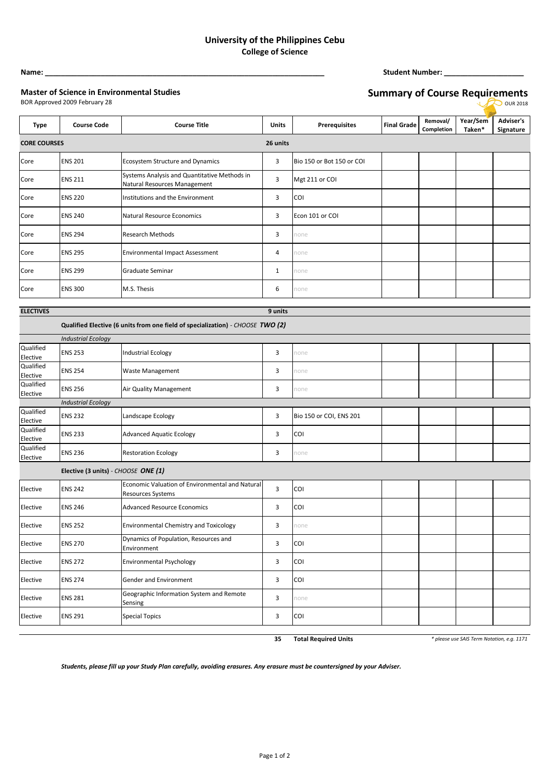## **University of the Philippines Cebu College of Science**

**Name: \_\_\_\_\_\_\_\_\_\_\_\_\_\_\_\_\_\_\_\_\_\_\_\_\_\_\_\_\_\_\_\_\_\_\_\_\_\_\_\_\_\_\_\_\_\_\_\_\_\_\_\_\_\_\_\_\_\_\_\_\_\_\_\_\_\_\_\_\_\_ Student Number: \_\_\_\_\_\_\_\_\_\_\_\_\_\_\_\_\_\_\_\_**

## **Master of Science in Environmental Studies**

## **Summary of Course Requirements**

|                       | BOR Approved 2009 February 28<br>OUR 2018 |                                                                                |              |                           |                    |                        |                    |                               |  |  |  |
|-----------------------|-------------------------------------------|--------------------------------------------------------------------------------|--------------|---------------------------|--------------------|------------------------|--------------------|-------------------------------|--|--|--|
| <b>Type</b>           | <b>Course Code</b>                        | <b>Course Title</b>                                                            | <b>Units</b> | <b>Prerequisites</b>      | <b>Final Grade</b> | Removal/<br>Completion | Year/Sem<br>Taken* | <b>Adviser's</b><br>Signature |  |  |  |
| <b>CORE COURSES</b>   |                                           |                                                                                | 26 units     |                           |                    |                        |                    |                               |  |  |  |
| Core                  | <b>ENS 201</b>                            | Ecosystem Structure and Dynamics                                               | 3            | Bio 150 or Bot 150 or COI |                    |                        |                    |                               |  |  |  |
| Core                  | <b>ENS 211</b>                            | Systems Analysis and Quantitative Methods in<br>Natural Resources Management   | 3            | Mgt 211 or COI            |                    |                        |                    |                               |  |  |  |
| Core                  | <b>ENS 220</b>                            | Institutions and the Environment                                               | 3            | COI                       |                    |                        |                    |                               |  |  |  |
| Core                  | <b>ENS 240</b>                            | Natural Resource Economics                                                     | 3            | Econ 101 or COI           |                    |                        |                    |                               |  |  |  |
| Core                  | <b>ENS 294</b>                            | <b>Research Methods</b>                                                        | 3            | none                      |                    |                        |                    |                               |  |  |  |
| Core                  | <b>ENS 295</b>                            | <b>Environmental Impact Assessment</b>                                         | 4            | none                      |                    |                        |                    |                               |  |  |  |
| Core                  | <b>ENS 299</b>                            | Graduate Seminar                                                               | $\mathbf{1}$ | none                      |                    |                        |                    |                               |  |  |  |
| Core                  | <b>ENS 300</b>                            | M.S. Thesis                                                                    | 6            | none                      |                    |                        |                    |                               |  |  |  |
| <b>ELECTIVES</b>      |                                           |                                                                                | 9 units      |                           |                    |                        |                    |                               |  |  |  |
|                       |                                           | Qualified Elective (6 units from one field of specialization) - CHOOSE TWO (2) |              |                           |                    |                        |                    |                               |  |  |  |
|                       | <b>Industrial Ecology</b>                 |                                                                                |              |                           |                    |                        |                    |                               |  |  |  |
| Qualified<br>Elective | <b>ENS 253</b>                            | Industrial Ecology                                                             | 3            | none                      |                    |                        |                    |                               |  |  |  |
| Qualified<br>Elective | <b>ENS 254</b>                            | Waste Management                                                               | 3            | none                      |                    |                        |                    |                               |  |  |  |
| Qualified<br>Elective | <b>ENS 256</b>                            | Air Quality Management                                                         | 3            | none                      |                    |                        |                    |                               |  |  |  |
|                       | <b>Industrial Ecology</b>                 |                                                                                |              |                           |                    |                        |                    |                               |  |  |  |
| Qualified<br>Elective | <b>ENS 232</b>                            | Landscape Ecology                                                              | 3            | Bio 150 or COI, ENS 201   |                    |                        |                    |                               |  |  |  |
| Qualified<br>Elective | <b>ENS 233</b>                            | <b>Advanced Aquatic Ecology</b>                                                | 3            | COI                       |                    |                        |                    |                               |  |  |  |
| Qualified<br>Elective | <b>ENS 236</b>                            | <b>Restoration Ecology</b>                                                     | 3            | none                      |                    |                        |                    |                               |  |  |  |
|                       | Elective (3 units) - CHOOSE ONE (1)       |                                                                                |              |                           |                    |                        |                    |                               |  |  |  |
| Elective              | <b>ENS 242</b>                            | Economic Valuation of Environmental and Natural<br>Resources Systems           | 3            | COI                       |                    |                        |                    |                               |  |  |  |
| Elective              | <b>ENS 246</b>                            | <b>Advanced Resource Economics</b>                                             | 3            | COI                       |                    |                        |                    |                               |  |  |  |
| Elective              | <b>ENS 252</b>                            | <b>Environmental Chemistry and Toxicology</b>                                  | 3            | none                      |                    |                        |                    |                               |  |  |  |
| Elective              | <b>ENS 270</b>                            | Dynamics of Population, Resources and<br>Environment                           | 3            | COI                       |                    |                        |                    |                               |  |  |  |
| Elective              | <b>ENS 272</b>                            | Environmental Psychology                                                       | 3            | COI                       |                    |                        |                    |                               |  |  |  |
| Elective              | <b>ENS 274</b>                            | Gender and Environment                                                         | 3            | COI                       |                    |                        |                    |                               |  |  |  |
| Elective              | <b>ENS 281</b>                            | Geographic Information System and Remote<br>Sensing                            | 3            | none                      |                    |                        |                    |                               |  |  |  |

**35 Total Required Units** *\* please use SAIS Term Notation, e.g. 1171*

*Students, please fill up your Study Plan carefully, avoiding erasures. Any erasure must be countersigned by your Adviser.*

Elective ENS 291 Special Topics 3 3 COI